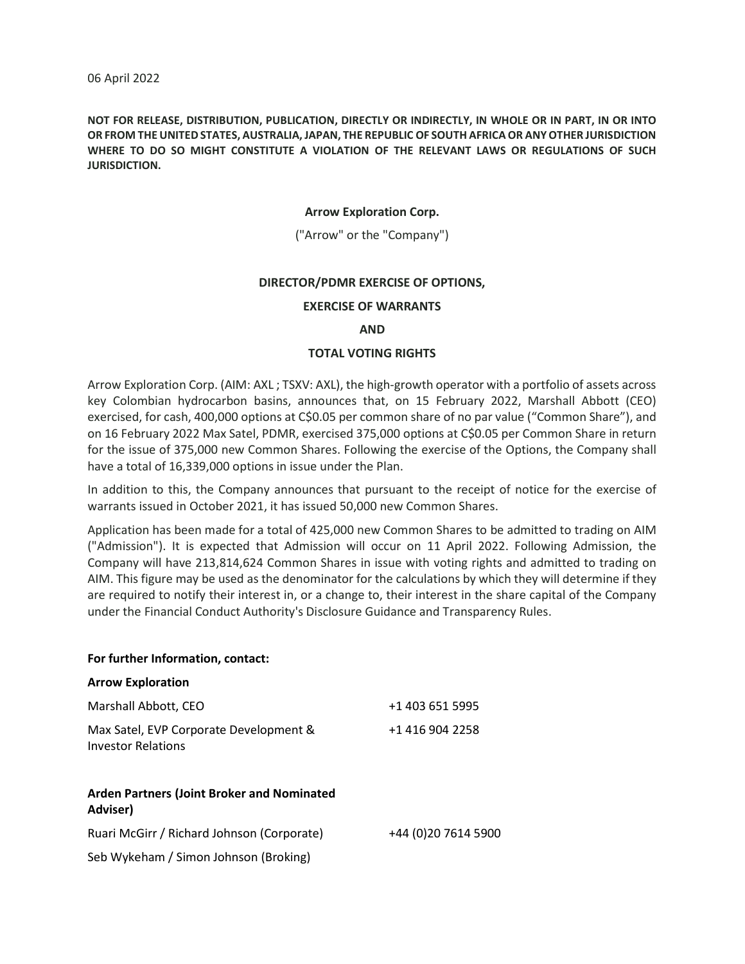NOT FOR RELEASE, DISTRIBUTION, PUBLICATION, DIRECTLY OR INDIRECTLY, IN WHOLE OR IN PART, IN OR INTO OR FROM THE UNITED STATES, AUSTRALIA, JAPAN, THE REPUBLIC OF SOUTH AFRICA OR ANY OTHER JURISDICTION WHERE TO DO SO MIGHT CONSTITUTE A VIOLATION OF THE RELEVANT LAWS OR REGULATIONS OF SUCH JURISDICTION.

## Arrow Exploration Corp.

("Arrow" or the "Company")

### DIRECTOR/PDMR EXERCISE OF OPTIONS,

#### EXERCISE OF WARRANTS

#### AND

### TOTAL VOTING RIGHTS

Arrow Exploration Corp. (AIM: AXL ; TSXV: AXL), the high-growth operator with a portfolio of assets across key Colombian hydrocarbon basins, announces that, on 15 February 2022, Marshall Abbott (CEO) exercised, for cash, 400,000 options at C\$0.05 per common share of no par value ("Common Share"), and on 16 February 2022 Max Satel, PDMR, exercised 375,000 options at C\$0.05 per Common Share in return for the issue of 375,000 new Common Shares. Following the exercise of the Options, the Company shall have a total of 16,339,000 options in issue under the Plan.

In addition to this, the Company announces that pursuant to the receipt of notice for the exercise of warrants issued in October 2021, it has issued 50,000 new Common Shares.

Application has been made for a total of 425,000 new Common Shares to be admitted to trading on AIM ("Admission"). It is expected that Admission will occur on 11 April 2022. Following Admission, the Company will have 213,814,624 Common Shares in issue with voting rights and admitted to trading on AIM. This figure may be used as the denominator for the calculations by which they will determine if they are required to notify their interest in, or a change to, their interest in the share capital of the Company under the Financial Conduct Authority's Disclosure Guidance and Transparency Rules.

| For further Information, contact:                                   |                      |
|---------------------------------------------------------------------|----------------------|
| <b>Arrow Exploration</b>                                            |                      |
| Marshall Abbott, CEO                                                | +1 403 651 5995      |
| Max Satel, EVP Corporate Development &<br><b>Investor Relations</b> | +1 416 904 2258      |
| <b>Arden Partners (Joint Broker and Nominated</b><br>Adviser)       |                      |
| Ruari McGirr / Richard Johnson (Corporate)                          | +44 (0) 20 7614 5900 |
| Seb Wykeham / Simon Johnson (Broking)                               |                      |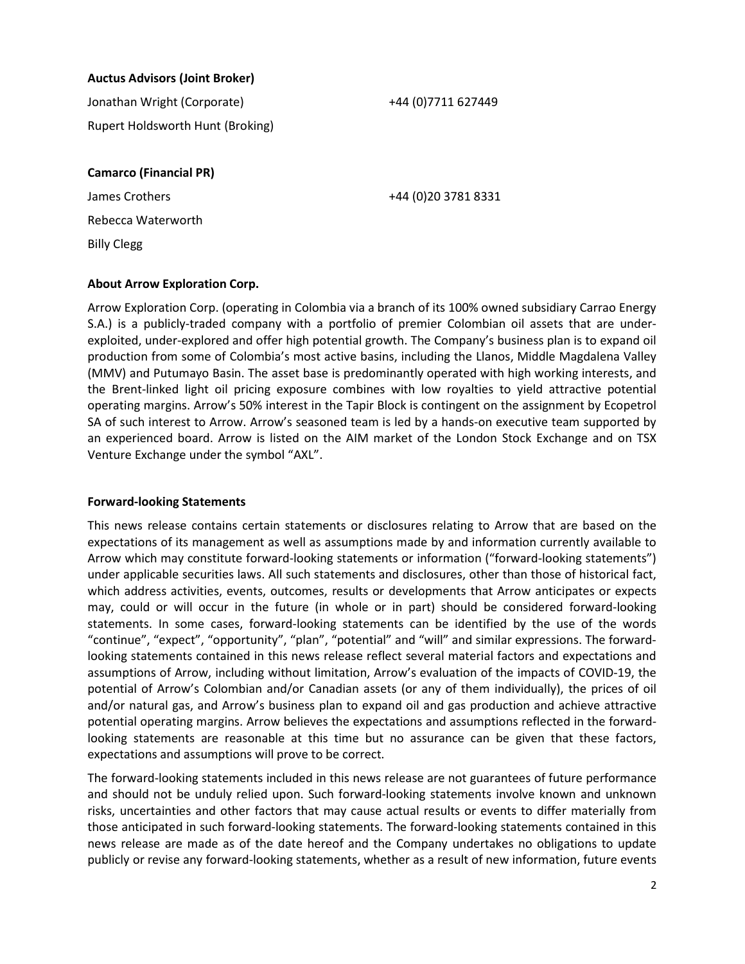## Auctus Advisors (Joint Broker)

Jonathan Wright (Corporate) +44 (0)7711 627449 Rupert Holdsworth Hunt (Broking)

## Camarco (Financial PR)

James Crothers +44 (0)20 3781 8331 Rebecca Waterworth Billy Clegg

# About Arrow Exploration Corp.

Arrow Exploration Corp. (operating in Colombia via a branch of its 100% owned subsidiary Carrao Energy S.A.) is a publicly-traded company with a portfolio of premier Colombian oil assets that are underexploited, under-explored and offer high potential growth. The Company's business plan is to expand oil production from some of Colombia's most active basins, including the Llanos, Middle Magdalena Valley (MMV) and Putumayo Basin. The asset base is predominantly operated with high working interests, and the Brent-linked light oil pricing exposure combines with low royalties to yield attractive potential operating margins. Arrow's 50% interest in the Tapir Block is contingent on the assignment by Ecopetrol SA of such interest to Arrow. Arrow's seasoned team is led by a hands-on executive team supported by an experienced board. Arrow is listed on the AIM market of the London Stock Exchange and on TSX Venture Exchange under the symbol "AXL".

# Forward-looking Statements

This news release contains certain statements or disclosures relating to Arrow that are based on the expectations of its management as well as assumptions made by and information currently available to Arrow which may constitute forward-looking statements or information ("forward-looking statements") under applicable securities laws. All such statements and disclosures, other than those of historical fact, which address activities, events, outcomes, results or developments that Arrow anticipates or expects may, could or will occur in the future (in whole or in part) should be considered forward-looking statements. In some cases, forward-looking statements can be identified by the use of the words "continue", "expect", "opportunity", "plan", "potential" and "will" and similar expressions. The forwardlooking statements contained in this news release reflect several material factors and expectations and assumptions of Arrow, including without limitation, Arrow's evaluation of the impacts of COVID-19, the potential of Arrow's Colombian and/or Canadian assets (or any of them individually), the prices of oil and/or natural gas, and Arrow's business plan to expand oil and gas production and achieve attractive potential operating margins. Arrow believes the expectations and assumptions reflected in the forwardlooking statements are reasonable at this time but no assurance can be given that these factors, expectations and assumptions will prove to be correct.

The forward-looking statements included in this news release are not guarantees of future performance and should not be unduly relied upon. Such forward-looking statements involve known and unknown risks, uncertainties and other factors that may cause actual results or events to differ materially from those anticipated in such forward-looking statements. The forward-looking statements contained in this news release are made as of the date hereof and the Company undertakes no obligations to update publicly or revise any forward-looking statements, whether as a result of new information, future events